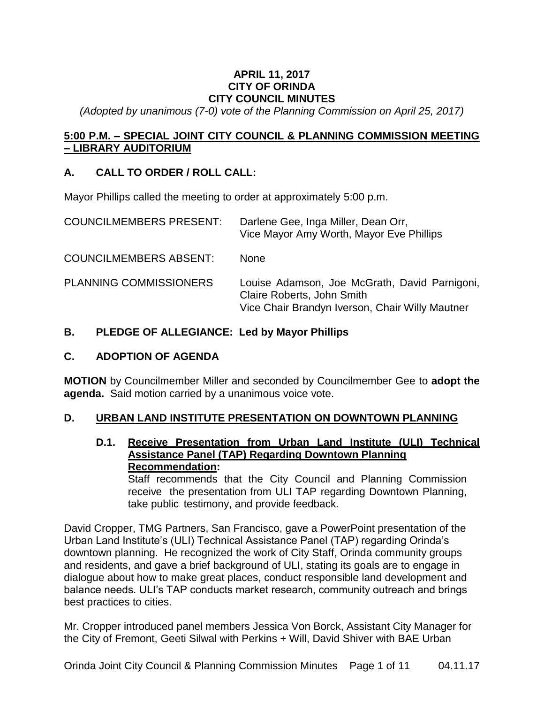## **APRIL 11, 2017 CITY OF ORINDA CITY COUNCIL MINUTES**

*(Adopted by unanimous (7-0) vote of the Planning Commission on April 25, 2017)*

## **5:00 P.M. – SPECIAL JOINT CITY COUNCIL & PLANNING COMMISSION MEETING – LIBRARY AUDITORIUM**

## **A. CALL TO ORDER / ROLL CALL:**

Mayor Phillips called the meeting to order at approximately 5:00 p.m.

| <b>COUNCILMEMBERS PRESENT:</b> | Darlene Gee, Inga Miller, Dean Orr,<br>Vice Mayor Amy Worth, Mayor Eve Phillips                                                |
|--------------------------------|--------------------------------------------------------------------------------------------------------------------------------|
| <b>COUNCILMEMBERS ABSENT:</b>  | None                                                                                                                           |
| <b>PLANNING COMMISSIONERS</b>  | Louise Adamson, Joe McGrath, David Parnigoni,<br>Claire Roberts, John Smith<br>Vice Chair Brandyn Iverson, Chair Willy Mautner |

## **B. PLEDGE OF ALLEGIANCE: Led by Mayor Phillips**

#### **C. ADOPTION OF AGENDA**

**MOTION** by Councilmember Miller and seconded by Councilmember Gee to **adopt the agenda.** Said motion carried by a unanimous voice vote.

#### **D. URBAN LAND INSTITUTE PRESENTATION ON DOWNTOWN PLANNING**

**D.1. Receive Presentation from Urban Land Institute (ULI) Technical Assistance Panel (TAP) Regarding Downtown Planning Recommendation:**

Staff recommends that the City Council and Planning Commission receive the presentation from ULI TAP regarding Downtown Planning, take public testimony, and provide feedback.

David Cropper, TMG Partners, San Francisco, gave a PowerPoint presentation of the Urban Land Institute's (ULI) Technical Assistance Panel (TAP) regarding Orinda's downtown planning. He recognized the work of City Staff, Orinda community groups and residents, and gave a brief background of ULI, stating its goals are to engage in dialogue about how to make great places, conduct responsible land development and balance needs. ULI's TAP conducts market research, community outreach and brings best practices to cities.

Mr. Cropper introduced panel members Jessica Von Borck, Assistant City Manager for the City of Fremont, Geeti Silwal with Perkins + Will, David Shiver with BAE Urban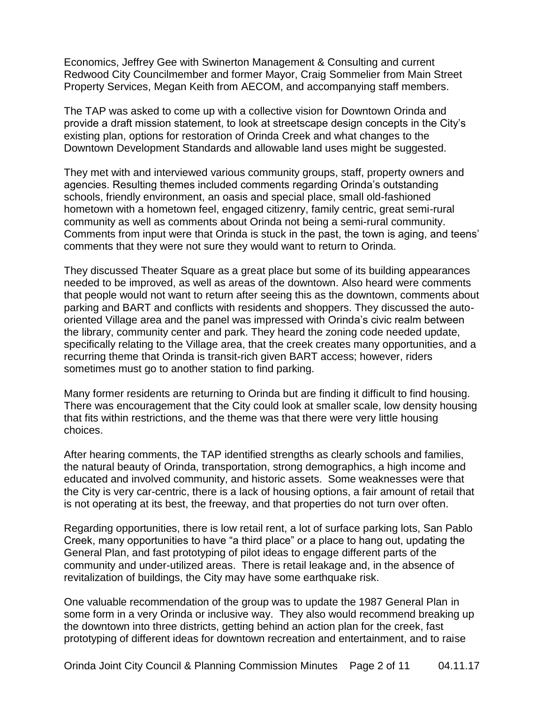Economics, Jeffrey Gee with Swinerton Management & Consulting and current Redwood City Councilmember and former Mayor, Craig Sommelier from Main Street Property Services, Megan Keith from AECOM, and accompanying staff members.

The TAP was asked to come up with a collective vision for Downtown Orinda and provide a draft mission statement, to look at streetscape design concepts in the City's existing plan, options for restoration of Orinda Creek and what changes to the Downtown Development Standards and allowable land uses might be suggested.

They met with and interviewed various community groups, staff, property owners and agencies. Resulting themes included comments regarding Orinda's outstanding schools, friendly environment, an oasis and special place, small old-fashioned hometown with a hometown feel, engaged citizenry, family centric, great semi-rural community as well as comments about Orinda not being a semi-rural community. Comments from input were that Orinda is stuck in the past, the town is aging, and teens' comments that they were not sure they would want to return to Orinda.

They discussed Theater Square as a great place but some of its building appearances needed to be improved, as well as areas of the downtown. Also heard were comments that people would not want to return after seeing this as the downtown, comments about parking and BART and conflicts with residents and shoppers. They discussed the autooriented Village area and the panel was impressed with Orinda's civic realm between the library, community center and park. They heard the zoning code needed update, specifically relating to the Village area, that the creek creates many opportunities, and a recurring theme that Orinda is transit-rich given BART access; however, riders sometimes must go to another station to find parking.

Many former residents are returning to Orinda but are finding it difficult to find housing. There was encouragement that the City could look at smaller scale, low density housing that fits within restrictions, and the theme was that there were very little housing choices.

After hearing comments, the TAP identified strengths as clearly schools and families, the natural beauty of Orinda, transportation, strong demographics, a high income and educated and involved community, and historic assets. Some weaknesses were that the City is very car-centric, there is a lack of housing options, a fair amount of retail that is not operating at its best, the freeway, and that properties do not turn over often.

Regarding opportunities, there is low retail rent, a lot of surface parking lots, San Pablo Creek, many opportunities to have "a third place" or a place to hang out, updating the General Plan, and fast prototyping of pilot ideas to engage different parts of the community and under-utilized areas. There is retail leakage and, in the absence of revitalization of buildings, the City may have some earthquake risk.

One valuable recommendation of the group was to update the 1987 General Plan in some form in a very Orinda or inclusive way. They also would recommend breaking up the downtown into three districts, getting behind an action plan for the creek, fast prototyping of different ideas for downtown recreation and entertainment, and to raise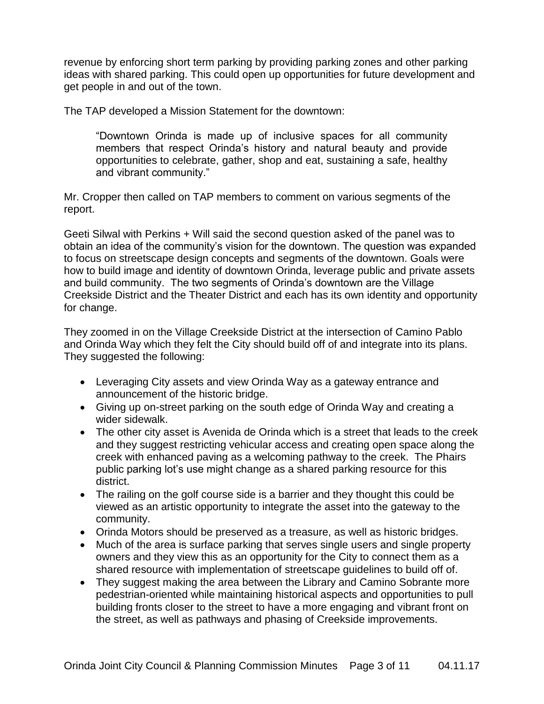revenue by enforcing short term parking by providing parking zones and other parking ideas with shared parking. This could open up opportunities for future development and get people in and out of the town.

The TAP developed a Mission Statement for the downtown:

"Downtown Orinda is made up of inclusive spaces for all community members that respect Orinda's history and natural beauty and provide opportunities to celebrate, gather, shop and eat, sustaining a safe, healthy and vibrant community."

Mr. Cropper then called on TAP members to comment on various segments of the report.

Geeti Silwal with Perkins + Will said the second question asked of the panel was to obtain an idea of the community's vision for the downtown. The question was expanded to focus on streetscape design concepts and segments of the downtown. Goals were how to build image and identity of downtown Orinda, leverage public and private assets and build community. The two segments of Orinda's downtown are the Village Creekside District and the Theater District and each has its own identity and opportunity for change.

They zoomed in on the Village Creekside District at the intersection of Camino Pablo and Orinda Way which they felt the City should build off of and integrate into its plans. They suggested the following:

- Leveraging City assets and view Orinda Way as a gateway entrance and announcement of the historic bridge.
- Giving up on-street parking on the south edge of Orinda Way and creating a wider sidewalk.
- The other city asset is Avenida de Orinda which is a street that leads to the creek and they suggest restricting vehicular access and creating open space along the creek with enhanced paving as a welcoming pathway to the creek. The Phairs public parking lot's use might change as a shared parking resource for this district.
- The railing on the golf course side is a barrier and they thought this could be viewed as an artistic opportunity to integrate the asset into the gateway to the community.
- Orinda Motors should be preserved as a treasure, as well as historic bridges.
- Much of the area is surface parking that serves single users and single property owners and they view this as an opportunity for the City to connect them as a shared resource with implementation of streetscape guidelines to build off of.
- They suggest making the area between the Library and Camino Sobrante more pedestrian-oriented while maintaining historical aspects and opportunities to pull building fronts closer to the street to have a more engaging and vibrant front on the street, as well as pathways and phasing of Creekside improvements.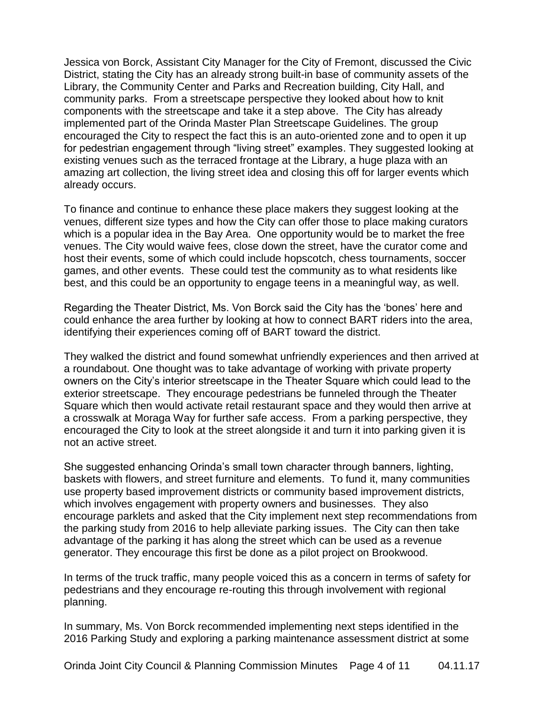Jessica von Borck, Assistant City Manager for the City of Fremont, discussed the Civic District, stating the City has an already strong built-in base of community assets of the Library, the Community Center and Parks and Recreation building, City Hall, and community parks. From a streetscape perspective they looked about how to knit components with the streetscape and take it a step above. The City has already implemented part of the Orinda Master Plan Streetscape Guidelines. The group encouraged the City to respect the fact this is an auto-oriented zone and to open it up for pedestrian engagement through "living street" examples. They suggested looking at existing venues such as the terraced frontage at the Library, a huge plaza with an amazing art collection, the living street idea and closing this off for larger events which already occurs.

To finance and continue to enhance these place makers they suggest looking at the venues, different size types and how the City can offer those to place making curators which is a popular idea in the Bay Area. One opportunity would be to market the free venues. The City would waive fees, close down the street, have the curator come and host their events, some of which could include hopscotch, chess tournaments, soccer games, and other events. These could test the community as to what residents like best, and this could be an opportunity to engage teens in a meaningful way, as well.

Regarding the Theater District, Ms. Von Borck said the City has the 'bones' here and could enhance the area further by looking at how to connect BART riders into the area, identifying their experiences coming off of BART toward the district.

They walked the district and found somewhat unfriendly experiences and then arrived at a roundabout. One thought was to take advantage of working with private property owners on the City's interior streetscape in the Theater Square which could lead to the exterior streetscape. They encourage pedestrians be funneled through the Theater Square which then would activate retail restaurant space and they would then arrive at a crosswalk at Moraga Way for further safe access. From a parking perspective, they encouraged the City to look at the street alongside it and turn it into parking given it is not an active street.

She suggested enhancing Orinda's small town character through banners, lighting, baskets with flowers, and street furniture and elements. To fund it, many communities use property based improvement districts or community based improvement districts, which involves engagement with property owners and businesses. They also encourage parklets and asked that the City implement next step recommendations from the parking study from 2016 to help alleviate parking issues. The City can then take advantage of the parking it has along the street which can be used as a revenue generator. They encourage this first be done as a pilot project on Brookwood.

In terms of the truck traffic, many people voiced this as a concern in terms of safety for pedestrians and they encourage re-routing this through involvement with regional planning.

In summary, Ms. Von Borck recommended implementing next steps identified in the 2016 Parking Study and exploring a parking maintenance assessment district at some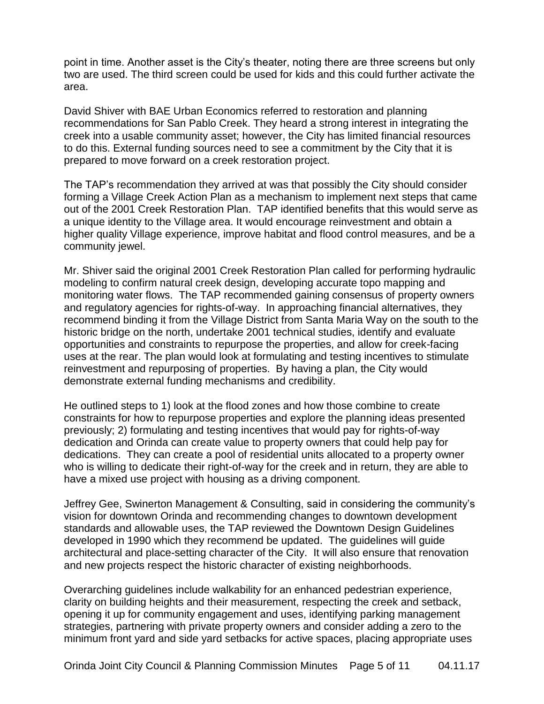point in time. Another asset is the City's theater, noting there are three screens but only two are used. The third screen could be used for kids and this could further activate the area.

David Shiver with BAE Urban Economics referred to restoration and planning recommendations for San Pablo Creek. They heard a strong interest in integrating the creek into a usable community asset; however, the City has limited financial resources to do this. External funding sources need to see a commitment by the City that it is prepared to move forward on a creek restoration project.

The TAP's recommendation they arrived at was that possibly the City should consider forming a Village Creek Action Plan as a mechanism to implement next steps that came out of the 2001 Creek Restoration Plan. TAP identified benefits that this would serve as a unique identity to the Village area. It would encourage reinvestment and obtain a higher quality Village experience, improve habitat and flood control measures, and be a community jewel.

Mr. Shiver said the original 2001 Creek Restoration Plan called for performing hydraulic modeling to confirm natural creek design, developing accurate topo mapping and monitoring water flows. The TAP recommended gaining consensus of property owners and regulatory agencies for rights-of-way. In approaching financial alternatives, they recommend binding it from the Village District from Santa Maria Way on the south to the historic bridge on the north, undertake 2001 technical studies, identify and evaluate opportunities and constraints to repurpose the properties, and allow for creek-facing uses at the rear. The plan would look at formulating and testing incentives to stimulate reinvestment and repurposing of properties. By having a plan, the City would demonstrate external funding mechanisms and credibility.

He outlined steps to 1) look at the flood zones and how those combine to create constraints for how to repurpose properties and explore the planning ideas presented previously; 2) formulating and testing incentives that would pay for rights-of-way dedication and Orinda can create value to property owners that could help pay for dedications. They can create a pool of residential units allocated to a property owner who is willing to dedicate their right-of-way for the creek and in return, they are able to have a mixed use project with housing as a driving component.

Jeffrey Gee, Swinerton Management & Consulting, said in considering the community's vision for downtown Orinda and recommending changes to downtown development standards and allowable uses, the TAP reviewed the Downtown Design Guidelines developed in 1990 which they recommend be updated. The guidelines will guide architectural and place-setting character of the City. It will also ensure that renovation and new projects respect the historic character of existing neighborhoods.

Overarching guidelines include walkability for an enhanced pedestrian experience, clarity on building heights and their measurement, respecting the creek and setback, opening it up for community engagement and uses, identifying parking management strategies, partnering with private property owners and consider adding a zero to the minimum front yard and side yard setbacks for active spaces, placing appropriate uses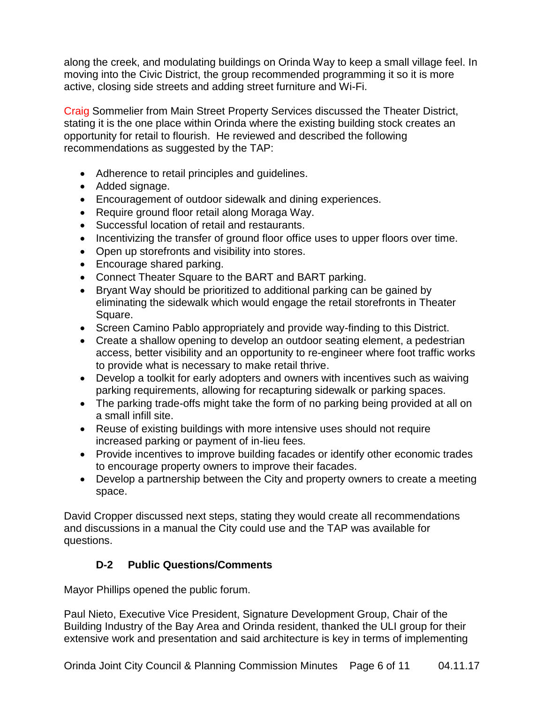along the creek, and modulating buildings on Orinda Way to keep a small village feel. In moving into the Civic District, the group recommended programming it so it is more active, closing side streets and adding street furniture and Wi-Fi.

Craig Sommelier from Main Street Property Services discussed the Theater District, stating it is the one place within Orinda where the existing building stock creates an opportunity for retail to flourish. He reviewed and described the following recommendations as suggested by the TAP:

- Adherence to retail principles and guidelines.
- Added signage.
- Encouragement of outdoor sidewalk and dining experiences.
- Require ground floor retail along Moraga Way.
- Successful location of retail and restaurants.
- Incentivizing the transfer of ground floor office uses to upper floors over time.
- Open up storefronts and visibility into stores.
- Encourage shared parking.
- Connect Theater Square to the BART and BART parking.
- Bryant Way should be prioritized to additional parking can be gained by eliminating the sidewalk which would engage the retail storefronts in Theater Square.
- Screen Camino Pablo appropriately and provide way-finding to this District.
- Create a shallow opening to develop an outdoor seating element, a pedestrian access, better visibility and an opportunity to re-engineer where foot traffic works to provide what is necessary to make retail thrive.
- Develop a toolkit for early adopters and owners with incentives such as waiving parking requirements, allowing for recapturing sidewalk or parking spaces.
- The parking trade-offs might take the form of no parking being provided at all on a small infill site.
- Reuse of existing buildings with more intensive uses should not require increased parking or payment of in-lieu fees.
- Provide incentives to improve building facades or identify other economic trades to encourage property owners to improve their facades.
- Develop a partnership between the City and property owners to create a meeting space.

David Cropper discussed next steps, stating they would create all recommendations and discussions in a manual the City could use and the TAP was available for questions.

# **D-2 Public Questions/Comments**

Mayor Phillips opened the public forum.

Paul Nieto, Executive Vice President, Signature Development Group, Chair of the Building Industry of the Bay Area and Orinda resident, thanked the ULI group for their extensive work and presentation and said architecture is key in terms of implementing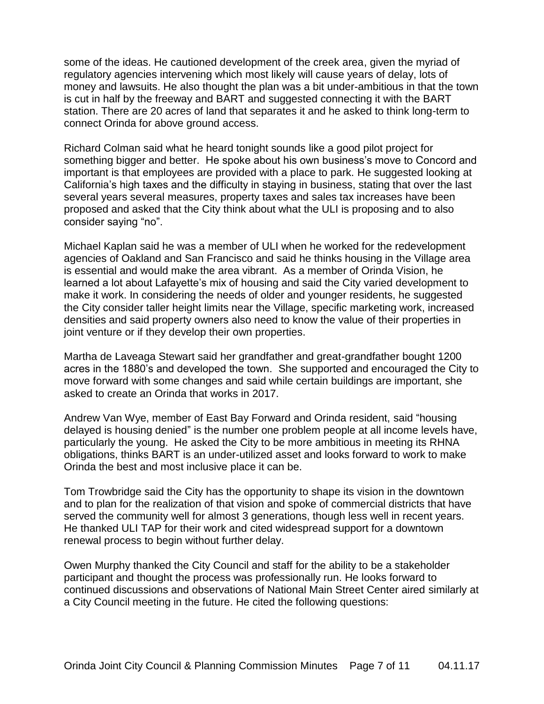some of the ideas. He cautioned development of the creek area, given the myriad of regulatory agencies intervening which most likely will cause years of delay, lots of money and lawsuits. He also thought the plan was a bit under-ambitious in that the town is cut in half by the freeway and BART and suggested connecting it with the BART station. There are 20 acres of land that separates it and he asked to think long-term to connect Orinda for above ground access.

Richard Colman said what he heard tonight sounds like a good pilot project for something bigger and better. He spoke about his own business's move to Concord and important is that employees are provided with a place to park. He suggested looking at California's high taxes and the difficulty in staying in business, stating that over the last several years several measures, property taxes and sales tax increases have been proposed and asked that the City think about what the ULI is proposing and to also consider saying "no".

Michael Kaplan said he was a member of ULI when he worked for the redevelopment agencies of Oakland and San Francisco and said he thinks housing in the Village area is essential and would make the area vibrant. As a member of Orinda Vision, he learned a lot about Lafayette's mix of housing and said the City varied development to make it work. In considering the needs of older and younger residents, he suggested the City consider taller height limits near the Village, specific marketing work, increased densities and said property owners also need to know the value of their properties in joint venture or if they develop their own properties.

Martha de Laveaga Stewart said her grandfather and great-grandfather bought 1200 acres in the 1880's and developed the town. She supported and encouraged the City to move forward with some changes and said while certain buildings are important, she asked to create an Orinda that works in 2017.

Andrew Van Wye, member of East Bay Forward and Orinda resident, said "housing delayed is housing denied" is the number one problem people at all income levels have, particularly the young. He asked the City to be more ambitious in meeting its RHNA obligations, thinks BART is an under-utilized asset and looks forward to work to make Orinda the best and most inclusive place it can be.

Tom Trowbridge said the City has the opportunity to shape its vision in the downtown and to plan for the realization of that vision and spoke of commercial districts that have served the community well for almost 3 generations, though less well in recent years. He thanked ULI TAP for their work and cited widespread support for a downtown renewal process to begin without further delay.

Owen Murphy thanked the City Council and staff for the ability to be a stakeholder participant and thought the process was professionally run. He looks forward to continued discussions and observations of National Main Street Center aired similarly at a City Council meeting in the future. He cited the following questions: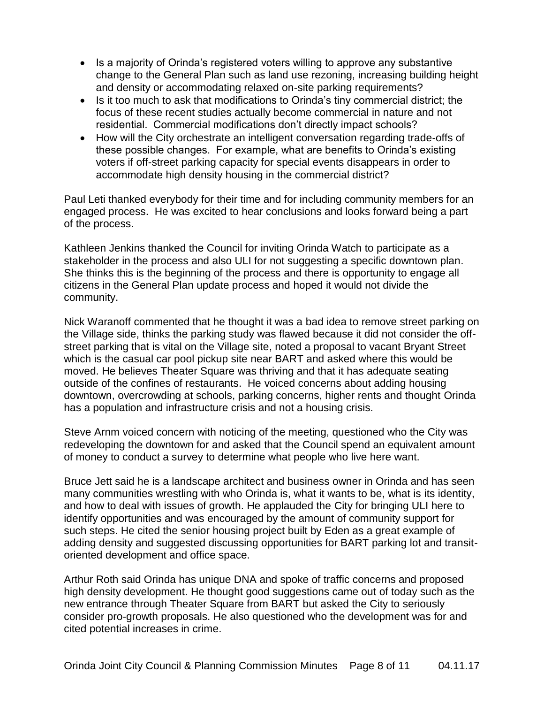- Is a majority of Orinda's registered voters willing to approve any substantive change to the General Plan such as land use rezoning, increasing building height and density or accommodating relaxed on-site parking requirements?
- Is it too much to ask that modifications to Orinda's tiny commercial district; the focus of these recent studies actually become commercial in nature and not residential. Commercial modifications don't directly impact schools?
- How will the City orchestrate an intelligent conversation regarding trade-offs of these possible changes. For example, what are benefits to Orinda's existing voters if off-street parking capacity for special events disappears in order to accommodate high density housing in the commercial district?

Paul Leti thanked everybody for their time and for including community members for an engaged process. He was excited to hear conclusions and looks forward being a part of the process.

Kathleen Jenkins thanked the Council for inviting Orinda Watch to participate as a stakeholder in the process and also ULI for not suggesting a specific downtown plan. She thinks this is the beginning of the process and there is opportunity to engage all citizens in the General Plan update process and hoped it would not divide the community.

Nick Waranoff commented that he thought it was a bad idea to remove street parking on the Village side, thinks the parking study was flawed because it did not consider the offstreet parking that is vital on the Village site, noted a proposal to vacant Bryant Street which is the casual car pool pickup site near BART and asked where this would be moved. He believes Theater Square was thriving and that it has adequate seating outside of the confines of restaurants. He voiced concerns about adding housing downtown, overcrowding at schools, parking concerns, higher rents and thought Orinda has a population and infrastructure crisis and not a housing crisis.

Steve Arnm voiced concern with noticing of the meeting, questioned who the City was redeveloping the downtown for and asked that the Council spend an equivalent amount of money to conduct a survey to determine what people who live here want.

Bruce Jett said he is a landscape architect and business owner in Orinda and has seen many communities wrestling with who Orinda is, what it wants to be, what is its identity, and how to deal with issues of growth. He applauded the City for bringing ULI here to identify opportunities and was encouraged by the amount of community support for such steps. He cited the senior housing project built by Eden as a great example of adding density and suggested discussing opportunities for BART parking lot and transitoriented development and office space.

Arthur Roth said Orinda has unique DNA and spoke of traffic concerns and proposed high density development. He thought good suggestions came out of today such as the new entrance through Theater Square from BART but asked the City to seriously consider pro-growth proposals. He also questioned who the development was for and cited potential increases in crime.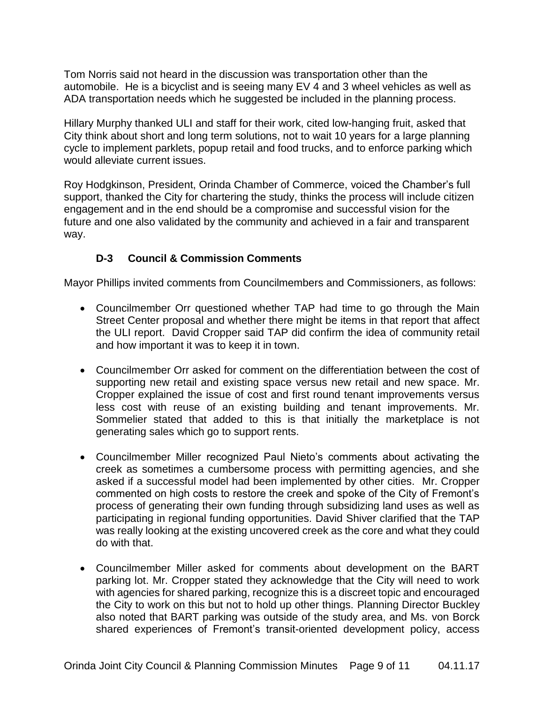Tom Norris said not heard in the discussion was transportation other than the automobile. He is a bicyclist and is seeing many EV 4 and 3 wheel vehicles as well as ADA transportation needs which he suggested be included in the planning process.

Hillary Murphy thanked ULI and staff for their work, cited low-hanging fruit, asked that City think about short and long term solutions, not to wait 10 years for a large planning cycle to implement parklets, popup retail and food trucks, and to enforce parking which would alleviate current issues.

Roy Hodgkinson, President, Orinda Chamber of Commerce, voiced the Chamber's full support, thanked the City for chartering the study, thinks the process will include citizen engagement and in the end should be a compromise and successful vision for the future and one also validated by the community and achieved in a fair and transparent way.

## **D-3 Council & Commission Comments**

Mayor Phillips invited comments from Councilmembers and Commissioners, as follows:

- Councilmember Orr questioned whether TAP had time to go through the Main Street Center proposal and whether there might be items in that report that affect the ULI report. David Cropper said TAP did confirm the idea of community retail and how important it was to keep it in town.
- Councilmember Orr asked for comment on the differentiation between the cost of supporting new retail and existing space versus new retail and new space. Mr. Cropper explained the issue of cost and first round tenant improvements versus less cost with reuse of an existing building and tenant improvements. Mr. Sommelier stated that added to this is that initially the marketplace is not generating sales which go to support rents.
- Councilmember Miller recognized Paul Nieto's comments about activating the creek as sometimes a cumbersome process with permitting agencies, and she asked if a successful model had been implemented by other cities. Mr. Cropper commented on high costs to restore the creek and spoke of the City of Fremont's process of generating their own funding through subsidizing land uses as well as participating in regional funding opportunities. David Shiver clarified that the TAP was really looking at the existing uncovered creek as the core and what they could do with that.
- Councilmember Miller asked for comments about development on the BART parking lot. Mr. Cropper stated they acknowledge that the City will need to work with agencies for shared parking, recognize this is a discreet topic and encouraged the City to work on this but not to hold up other things. Planning Director Buckley also noted that BART parking was outside of the study area, and Ms. von Borck shared experiences of Fremont's transit-oriented development policy, access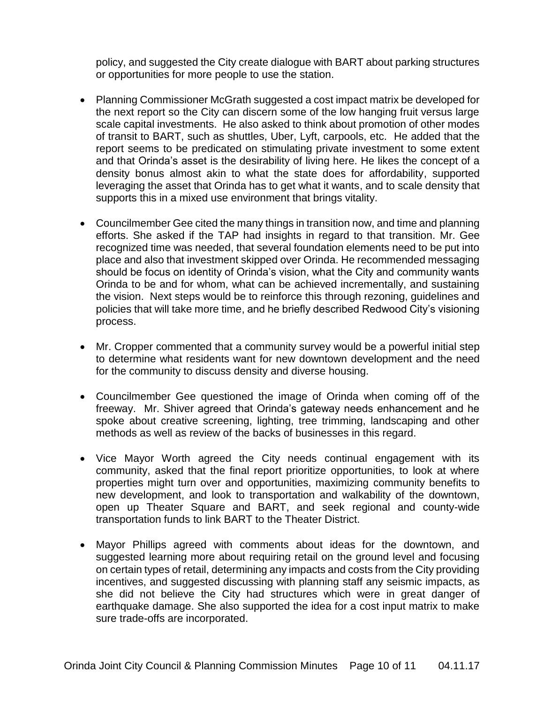policy, and suggested the City create dialogue with BART about parking structures or opportunities for more people to use the station.

- Planning Commissioner McGrath suggested a cost impact matrix be developed for the next report so the City can discern some of the low hanging fruit versus large scale capital investments. He also asked to think about promotion of other modes of transit to BART, such as shuttles, Uber, Lyft, carpools, etc. He added that the report seems to be predicated on stimulating private investment to some extent and that Orinda's asset is the desirability of living here. He likes the concept of a density bonus almost akin to what the state does for affordability, supported leveraging the asset that Orinda has to get what it wants, and to scale density that supports this in a mixed use environment that brings vitality.
- Councilmember Gee cited the many things in transition now, and time and planning efforts. She asked if the TAP had insights in regard to that transition. Mr. Gee recognized time was needed, that several foundation elements need to be put into place and also that investment skipped over Orinda. He recommended messaging should be focus on identity of Orinda's vision, what the City and community wants Orinda to be and for whom, what can be achieved incrementally, and sustaining the vision. Next steps would be to reinforce this through rezoning, guidelines and policies that will take more time, and he briefly described Redwood City's visioning process.
- Mr. Cropper commented that a community survey would be a powerful initial step to determine what residents want for new downtown development and the need for the community to discuss density and diverse housing.
- Councilmember Gee questioned the image of Orinda when coming off of the freeway. Mr. Shiver agreed that Orinda's gateway needs enhancement and he spoke about creative screening, lighting, tree trimming, landscaping and other methods as well as review of the backs of businesses in this regard.
- Vice Mayor Worth agreed the City needs continual engagement with its community, asked that the final report prioritize opportunities, to look at where properties might turn over and opportunities, maximizing community benefits to new development, and look to transportation and walkability of the downtown, open up Theater Square and BART, and seek regional and county-wide transportation funds to link BART to the Theater District.
- Mayor Phillips agreed with comments about ideas for the downtown, and suggested learning more about requiring retail on the ground level and focusing on certain types of retail, determining any impacts and costs from the City providing incentives, and suggested discussing with planning staff any seismic impacts, as she did not believe the City had structures which were in great danger of earthquake damage. She also supported the idea for a cost input matrix to make sure trade-offs are incorporated.